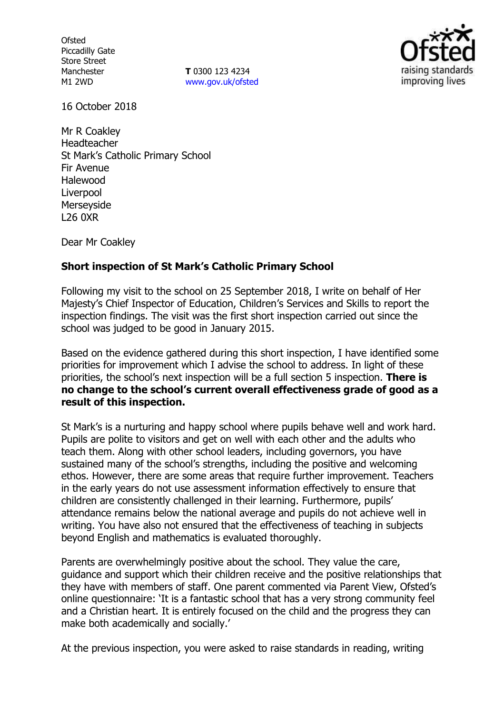**Ofsted** Piccadilly Gate Store Street Manchester M1 2WD

**T** 0300 123 4234 www.gov.uk/ofsted



16 October 2018

Mr R Coakley Headteacher St Mark's Catholic Primary School Fir Avenue Halewood Liverpool Merseyside L26 0XR

Dear Mr Coakley

## **Short inspection of St Mark's Catholic Primary School**

Following my visit to the school on 25 September 2018, I write on behalf of Her Majesty's Chief Inspector of Education, Children's Services and Skills to report the inspection findings. The visit was the first short inspection carried out since the school was judged to be good in January 2015.

Based on the evidence gathered during this short inspection, I have identified some priorities for improvement which I advise the school to address. In light of these priorities, the school's next inspection will be a full section 5 inspection. **There is no change to the school's current overall effectiveness grade of good as a result of this inspection.**

St Mark's is a nurturing and happy school where pupils behave well and work hard. Pupils are polite to visitors and get on well with each other and the adults who teach them. Along with other school leaders, including governors, you have sustained many of the school's strengths, including the positive and welcoming ethos. However, there are some areas that require further improvement. Teachers in the early years do not use assessment information effectively to ensure that children are consistently challenged in their learning. Furthermore, pupils' attendance remains below the national average and pupils do not achieve well in writing. You have also not ensured that the effectiveness of teaching in subjects beyond English and mathematics is evaluated thoroughly.

Parents are overwhelmingly positive about the school. They value the care, guidance and support which their children receive and the positive relationships that they have with members of staff. One parent commented via Parent View, Ofsted's online questionnaire: 'It is a fantastic school that has a very strong community feel and a Christian heart. It is entirely focused on the child and the progress they can make both academically and socially.'

At the previous inspection, you were asked to raise standards in reading, writing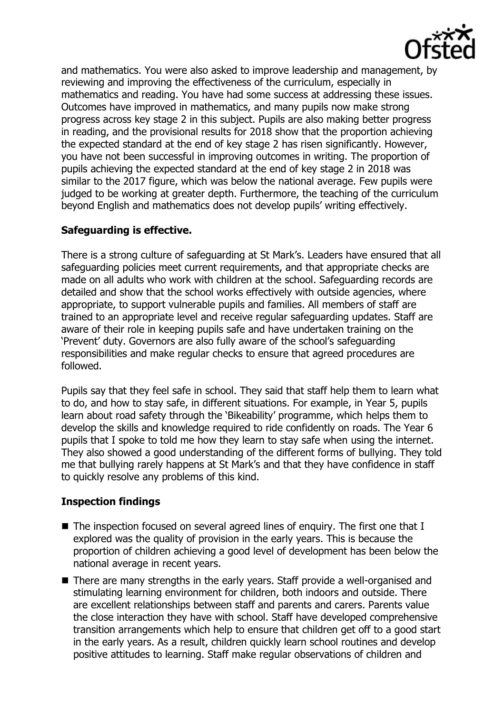

and mathematics. You were also asked to improve leadership and management, by reviewing and improving the effectiveness of the curriculum, especially in mathematics and reading. You have had some success at addressing these issues. Outcomes have improved in mathematics, and many pupils now make strong progress across key stage 2 in this subject. Pupils are also making better progress in reading, and the provisional results for 2018 show that the proportion achieving the expected standard at the end of key stage 2 has risen significantly. However, you have not been successful in improving outcomes in writing. The proportion of pupils achieving the expected standard at the end of key stage 2 in 2018 was similar to the 2017 figure, which was below the national average. Few pupils were judged to be working at greater depth. Furthermore, the teaching of the curriculum beyond English and mathematics does not develop pupils' writing effectively.

# **Safeguarding is effective.**

There is a strong culture of safeguarding at St Mark's. Leaders have ensured that all safeguarding policies meet current requirements, and that appropriate checks are made on all adults who work with children at the school. Safeguarding records are detailed and show that the school works effectively with outside agencies, where appropriate, to support vulnerable pupils and families. All members of staff are trained to an appropriate level and receive regular safeguarding updates. Staff are aware of their role in keeping pupils safe and have undertaken training on the 'Prevent' duty. Governors are also fully aware of the school's safeguarding responsibilities and make regular checks to ensure that agreed procedures are followed.

Pupils say that they feel safe in school. They said that staff help them to learn what to do, and how to stay safe, in different situations. For example, in Year 5, pupils learn about road safety through the 'Bikeability' programme, which helps them to develop the skills and knowledge required to ride confidently on roads. The Year 6 pupils that I spoke to told me how they learn to stay safe when using the internet. They also showed a good understanding of the different forms of bullying. They told me that bullying rarely happens at St Mark's and that they have confidence in staff to quickly resolve any problems of this kind.

# **Inspection findings**

- The inspection focused on several agreed lines of enquiry. The first one that I explored was the quality of provision in the early years. This is because the proportion of children achieving a good level of development has been below the national average in recent years.
- There are many strengths in the early years. Staff provide a well-organised and stimulating learning environment for children, both indoors and outside. There are excellent relationships between staff and parents and carers. Parents value the close interaction they have with school. Staff have developed comprehensive transition arrangements which help to ensure that children get off to a good start in the early years. As a result, children quickly learn school routines and develop positive attitudes to learning. Staff make regular observations of children and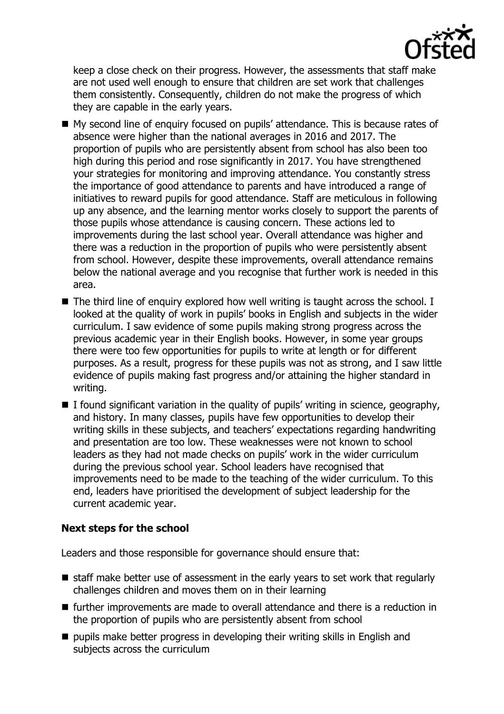

keep a close check on their progress. However, the assessments that staff make are not used well enough to ensure that children are set work that challenges them consistently. Consequently, children do not make the progress of which they are capable in the early years.

- My second line of enquiry focused on pupils' attendance. This is because rates of absence were higher than the national averages in 2016 and 2017. The proportion of pupils who are persistently absent from school has also been too high during this period and rose significantly in 2017. You have strengthened your strategies for monitoring and improving attendance. You constantly stress the importance of good attendance to parents and have introduced a range of initiatives to reward pupils for good attendance. Staff are meticulous in following up any absence, and the learning mentor works closely to support the parents of those pupils whose attendance is causing concern. These actions led to improvements during the last school year. Overall attendance was higher and there was a reduction in the proportion of pupils who were persistently absent from school. However, despite these improvements, overall attendance remains below the national average and you recognise that further work is needed in this area.
- $\blacksquare$  The third line of enquiry explored how well writing is taught across the school. I looked at the quality of work in pupils' books in English and subjects in the wider curriculum. I saw evidence of some pupils making strong progress across the previous academic year in their English books. However, in some year groups there were too few opportunities for pupils to write at length or for different purposes. As a result, progress for these pupils was not as strong, and I saw little evidence of pupils making fast progress and/or attaining the higher standard in writing.
- $\blacksquare$  I found significant variation in the quality of pupils' writing in science, geography, and history. In many classes, pupils have few opportunities to develop their writing skills in these subjects, and teachers' expectations regarding handwriting and presentation are too low. These weaknesses were not known to school leaders as they had not made checks on pupils' work in the wider curriculum during the previous school year. School leaders have recognised that improvements need to be made to the teaching of the wider curriculum. To this end, leaders have prioritised the development of subject leadership for the current academic year.

# **Next steps for the school**

Leaders and those responsible for governance should ensure that:

- $\blacksquare$  staff make better use of assessment in the early years to set work that regularly challenges children and moves them on in their learning
- $\blacksquare$  further improvements are made to overall attendance and there is a reduction in the proportion of pupils who are persistently absent from school
- $\blacksquare$  pupils make better progress in developing their writing skills in English and subjects across the curriculum